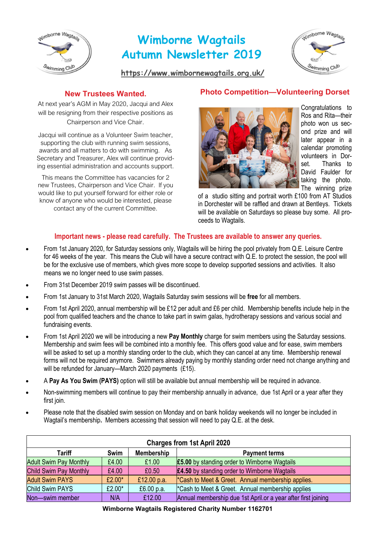

# **Wimborne Wagtails Autumn Newsletter 2019**

**<https://www.wimbornewagtails.org.uk/>**



## **New Trustees Wanted.**

At next year's AGM in May 2020, Jacqui and Alex will be resigning from their respective positions as Chairperson and Vice Chair.

Jacqui will continue as a Volunteer Swim teacher, supporting the club with running swim sessions, awards and all matters to do with swimming. As Secretary and Treasurer, Alex will continue providing essential administration and accounts support.

This means the Committee has vacancies for 2 new Trustees, Chairperson and Vice Chair. If you would like to put yourself forward for either role or know of anyone who would be interested, please contact any of the current Committee.

## **Photo Competition—Volunteering Dorset**



Congratulations to Ros and Rita—their photo won us second prize and will later appear in a calendar promoting volunteers in Dorset. Thanks to David Faulder for taking the photo. The winning prize

of a studio sitting and portrait worth £100 from AT Studios in Dorchester will be raffled and drawn at Bentleys. Tickets will be available on Saturdays so please buy some. All proceeds to Wagtails.

### **Important news - please read carefully. The Trustees are available to answer any queries.**

- From 1st January 2020, for Saturday sessions only, Wagtails will be hiring the pool privately from Q.E. Leisure Centre for 46 weeks of the year. This means the Club will have a secure contract with Q.E. to protect the session, the pool will be for the exclusive use of members, which gives more scope to develop supported sessions and activities. It also means we no longer need to use swim passes.
- From 31st December 2019 swim passes will be discontinued.
- From 1st January to 31st March 2020, Wagtails Saturday swim sessions will be **free** for all members.
- From 1st April 2020, annual membership will be £12 per adult and £6 per child. Membership benefits include help in the pool from qualified teachers and the chance to take part in swim galas, hydrotherapy sessions and various social and fundraising events.
- From 1st April 2020 we will be introducing a new **Pay Monthly** charge for swim members using the Saturday sessions. Membership and swim fees will be combined into a monthly fee. This offers good value and for ease, swim members will be asked to set up a monthly standing order to the club, which they can cancel at any time. Membership renewal forms will not be required anymore. Swimmers already paying by monthly standing order need not change anything and will be refunded for January—March 2020 payments (£15).
- A **Pay As You Swim (PAYS)** option will still be available but annual membership will be required in advance.
- Non-swimming members will continue to pay their membership annually in advance, due 1st April or a year after they first join.
- Please note that the disabled swim session on Monday and on bank holiday weekends will no longer be included in Wagtail's membership**.** Members accessing that session will need to pay Q.E. at the desk.

| <b>Charges from 1st April 2020</b> |             |                   |                                                               |  |  |  |
|------------------------------------|-------------|-------------------|---------------------------------------------------------------|--|--|--|
| Tariff                             | <b>Swim</b> | <b>Membership</b> | <b>Payment terms</b>                                          |  |  |  |
| <b>Adult Swim Pay Monthly</b>      | £4.00       | £1.00             | <b>E5.00</b> by standing order to Wimborne Wagtails           |  |  |  |
| <b>Child Swim Pay Monthly</b>      | £4.00       | £0.50             | <b>£4.50</b> by standing order to Wimborne Wagtails           |  |  |  |
| <b>Adult Swim PAYS</b>             | £2.00*      | £12.00 p.a.       | <sup>*</sup> Cash to Meet & Greet. Annual membership applies. |  |  |  |
| Child Swim PAYS                    | £2.00 $*$   | £6.00 p.a.        | <sup>*</sup> Cash to Meet & Greet. Annual membership applies  |  |  |  |
| Non-swim member                    | N/A         | £12.00            | Annual membership due 1st April or a year after first joining |  |  |  |

**Wimborne Wagtails Registered Charity Number 1162701**